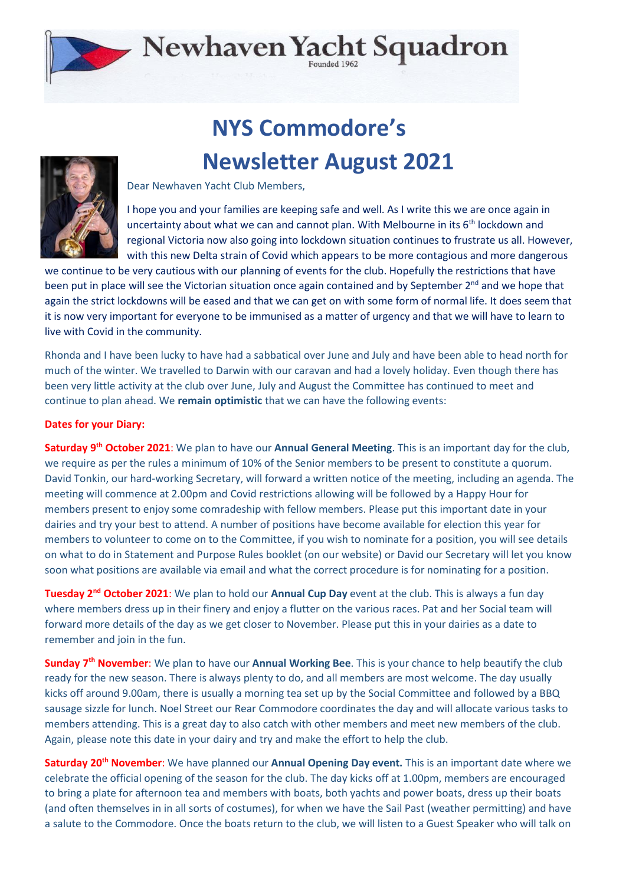## Newhaven Yacht Squadron

## **NYS Commodore's Newsletter August 2021**



Dear Newhaven Yacht Club Members,

I hope you and your families are keeping safe and well. As I write this we are once again in uncertainty about what we can and cannot plan. With Melbourne in its  $6<sup>th</sup>$  lockdown and regional Victoria now also going into lockdown situation continues to frustrate us all. However, with this new Delta strain of Covid which appears to be more contagious and more dangerous

we continue to be very cautious with our planning of events for the club. Hopefully the restrictions that have been put in place will see the Victorian situation once again contained and by September 2<sup>nd</sup> and we hope that again the strict lockdowns will be eased and that we can get on with some form of normal life. It does seem that it is now very important for everyone to be immunised as a matter of urgency and that we will have to learn to live with Covid in the community.

Rhonda and I have been lucky to have had a sabbatical over June and July and have been able to head north for much of the winter. We travelled to Darwin with our caravan and had a lovely holiday. Even though there has been very little activity at the club over June, July and August the Committee has continued to meet and continue to plan ahead. We **remain optimistic** that we can have the following events:

## **Dates for your Diary:**

**Saturday 9 th October 2021**: We plan to have our **Annual General Meeting**. This is an important day for the club, we require as per the rules a minimum of 10% of the Senior members to be present to constitute a quorum. David Tonkin, our hard-working Secretary, will forward a written notice of the meeting, including an agenda. The meeting will commence at 2.00pm and Covid restrictions allowing will be followed by a Happy Hour for members present to enjoy some comradeship with fellow members. Please put this important date in your dairies and try your best to attend. A number of positions have become available for election this year for members to volunteer to come on to the Committee, if you wish to nominate for a position, you will see details on what to do in Statement and Purpose Rules booklet (on our website) or David our Secretary will let you know soon what positions are available via email and what the correct procedure is for nominating for a position.

**Tuesday 2nd October 2021**: We plan to hold our **Annual Cup Day** event at the club. This is always a fun day where members dress up in their finery and enjoy a flutter on the various races. Pat and her Social team will forward more details of the day as we get closer to November. Please put this in your dairies as a date to remember and join in the fun.

**Sunday 7 th November**: We plan to have our **Annual Working Bee**. This is your chance to help beautify the club ready for the new season. There is always plenty to do, and all members are most welcome. The day usually kicks off around 9.00am, there is usually a morning tea set up by the Social Committee and followed by a BBQ sausage sizzle for lunch. Noel Street our Rear Commodore coordinates the day and will allocate various tasks to members attending. This is a great day to also catch with other members and meet new members of the club. Again, please note this date in your dairy and try and make the effort to help the club.

**Saturday 20th November**: We have planned our **Annual Opening Day event.** This is an important date where we celebrate the official opening of the season for the club. The day kicks off at 1.00pm, members are encouraged to bring a plate for afternoon tea and members with boats, both yachts and power boats, dress up their boats (and often themselves in in all sorts of costumes), for when we have the Sail Past (weather permitting) and have a salute to the Commodore. Once the boats return to the club, we will listen to a Guest Speaker who will talk on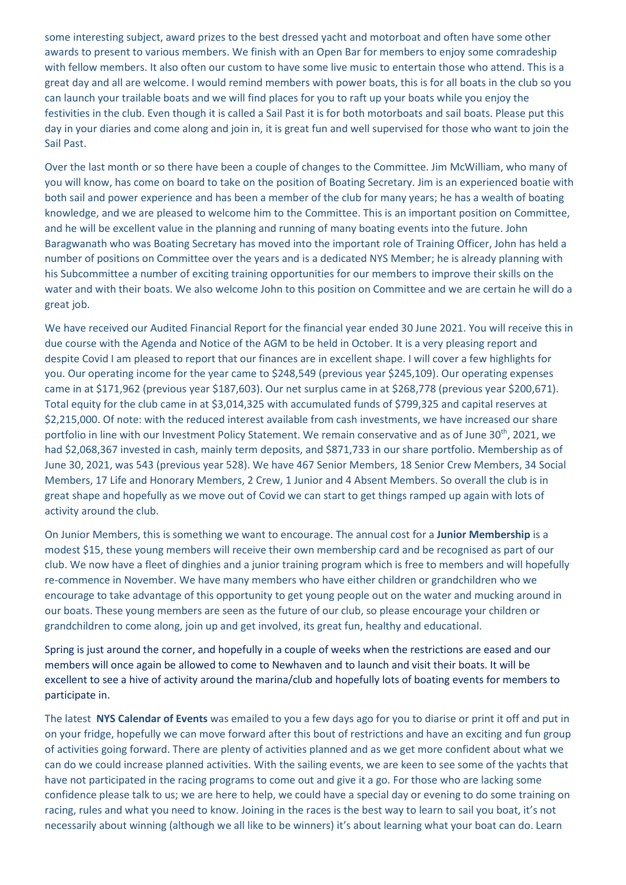some interesting subject, award prizes to the best dressed yacht and motorboat and often have some other awards to present to various members. We finish with an Open Bar for members to enjoy some comradeship with fellow members. It also often our custom to have some live music to entertain those who attend. This is a great day and all are welcome. I would remind members with power boats, this is for all boats in the club so you can launch your trailable boats and we will find places for you to raft up your boats while you enjoy the festivities in the club. Even though it is called a Sail Past it is for both motorboats and sail boats. Please put this day in your diaries and come along and join in, it is great fun and well supervised for those who want to join the Sail Past.

Over the last month or so there have been a couple of changes to the Committee. Jim McWilliam, who many of you will know, has come on board to take on the position of Boating Secretary. Jim is an experienced boatie with both sail and power experience and has been a member of the club for many years; he has a wealth of boating knowledge, and we are pleased to welcome him to the Committee. This is an important position on Committee, and he will be excellent value in the planning and running of many boating events into the future. John Baragwanath who was Boating Secretary has moved into the important role of Training Officer, John has held a number of positions on Committee over the years and is a dedicated NYS Member; he is already planning with his Subcommittee a number of exciting training opportunities for our members to improve their skills on the water and with their boats. We also welcome John to this position on Committee and we are certain he will do a great job.

We have received our Audited Financial Report for the financial year ended 30 June 2021. You will receive this in due course with the Agenda and Notice of the AGM to be held in October. It is a very pleasing report and despite Covid I am pleased to report that our finances are in excellent shape. I will cover a few highlights for you. Our operating income for the year came to \$248,549 (previous year \$245,109). Our operating expenses came in at \$171,962 (previous year \$187,603). Our net surplus came in at \$268,778 (previous year \$200,671). Total equity for the club came in at \$3,014,325 with accumulated funds of \$799,325 and capital reserves at \$2,215,000. Of note: with the reduced interest available from cash investments, we have increased our share portfolio in line with our Investment Policy Statement. We remain conservative and as of June 30<sup>th</sup>, 2021, we had \$2,068,367 invested in cash, mainly term deposits, and \$871,733 in our share portfolio. Membership as of June 30, 2021, was 543 (previous year 528). We have 467 Senior Members, 18 Senior Crew Members, 34 Social Members, 17 Life and Honorary Members, 2 Crew, 1 Junior and 4 Absent Members. So overall the club is in great shape and hopefully as we move out of Covid we can start to get things ramped up again with lots of activity around the club.

On Junior Members, this is something we want to encourage. The annual cost for a **Junior Membership** is a modest \$15, these young members will receive their own membership card and be recognised as part of our club. We now have a fleet of dinghies and a junior training program which is free to members and will hopefully re-commence in November. We have many members who have either children or grandchildren who we encourage to take advantage of this opportunity to get young people out on the water and mucking around in our boats. These young members are seen as the future of our club, so please encourage your children or grandchildren to come along, join up and get involved, its great fun, healthy and educational.

Spring is just around the corner, and hopefully in a couple of weeks when the restrictions are eased and our members will once again be allowed to come to Newhaven and to launch and visit their boats. It will be excellent to see a hive of activity around the marina/club and hopefully lots of boating events for members to participate in.

The latest **NYS Calendar of Events** was emailed to you a few days ago for you to diarise or print it off and put in on your fridge, hopefully we can move forward after this bout of restrictions and have an exciting and fun group of activities going forward. There are plenty of activities planned and as we get more confident about what we can do we could increase planned activities. With the sailing events, we are keen to see some of the yachts that have not participated in the racing programs to come out and give it a go. For those who are lacking some confidence please talk to us; we are here to help, we could have a special day or evening to do some training on racing, rules and what you need to know. Joining in the races is the best way to learn to sail you boat, it's not necessarily about winning (although we all like to be winners) it's about learning what your boat can do. Learn